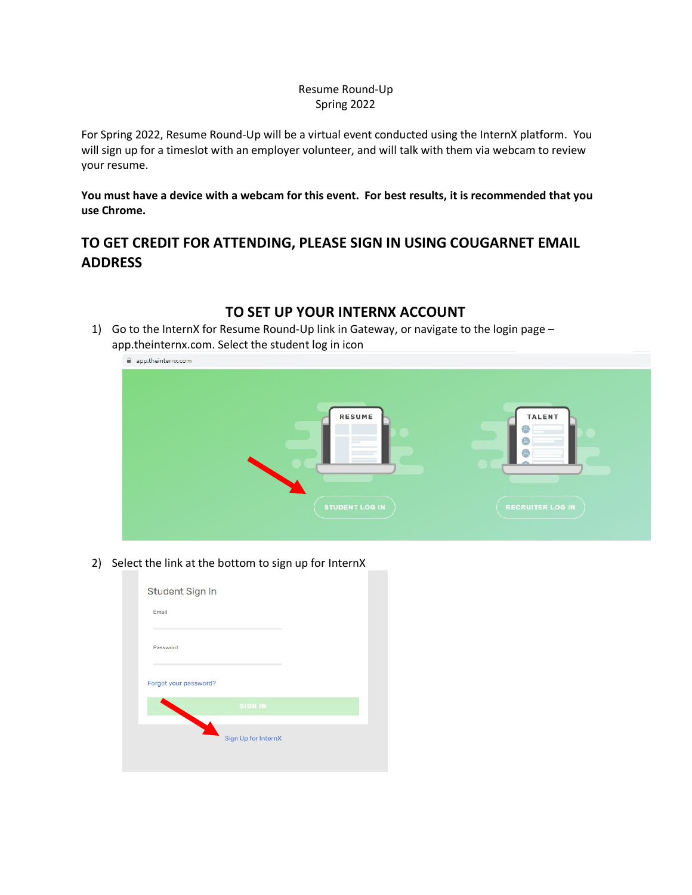#### Resume Round-Up Spring 2022

For Spring 2022, Resume Round-Up will be a virtual event conducted using the InternX platform. You will sign up for a timeslot with an employer volunteer, and will talk with them via webcam to review your resume.

**You must have a device with a webcam for this event. For best results, it is recommended that you use Chrome.**

## **TO GET CREDIT FOR ATTENDING, PLEASE SIGN IN USING COUGARNET EMAIL ADDRESS**

# 1) Go to the InternX for Resume Round-Up link in Gateway, or navigate to the login page – app.theinternx.com RESUME **TALENT**  $\mathbf{a}$

2) Select the link at the bottom to sign up for InternX

| Student Sign In       |                     |  |
|-----------------------|---------------------|--|
| Email                 |                     |  |
| Password              |                     |  |
| Forgot your password? |                     |  |
|                       | <b>SIGN IN</b>      |  |
|                       | Sign Up for InternX |  |
|                       |                     |  |

## **TO SET UP YOUR INTERNX ACCOUNT**

app.theinternx.com. Select the student log in icon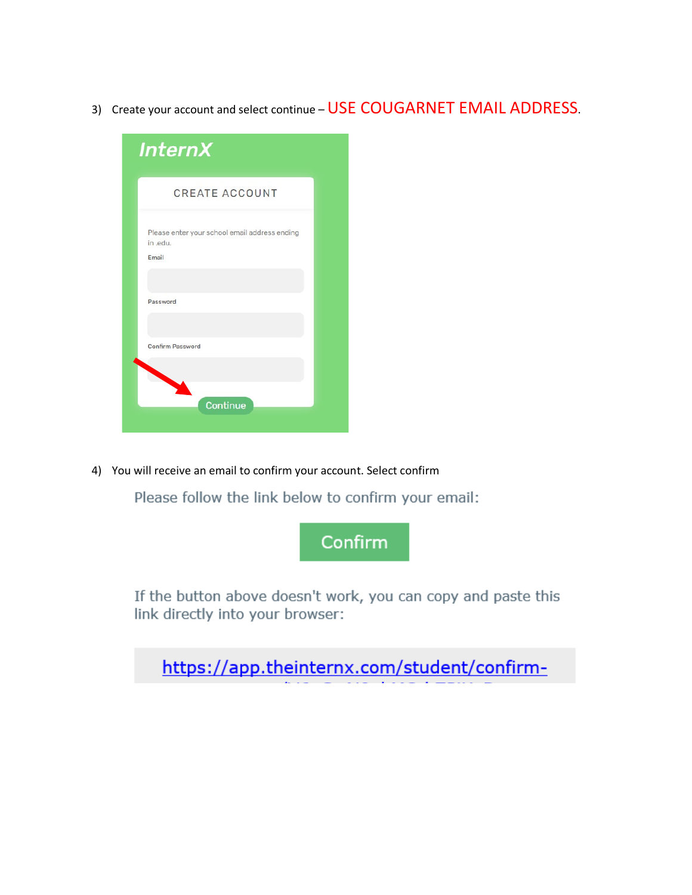3) Create your account and select continue – USE COUGARNET EMAIL ADDRESS.

| <b>InternX</b>                                                     |  |
|--------------------------------------------------------------------|--|
| <b>CREATE ACCOUNT</b>                                              |  |
| Please enter your school email address ending<br>in .edu.<br>Email |  |
| Password                                                           |  |
| <b>Confirm Password</b>                                            |  |
| Continue                                                           |  |

4) You will receive an email to confirm your account. Select confirm

Please follow the link below to confirm your email:



If the button above doesn't work, you can copy and paste this link directly into your browser:

https://app.theinternx.com/student/confirm-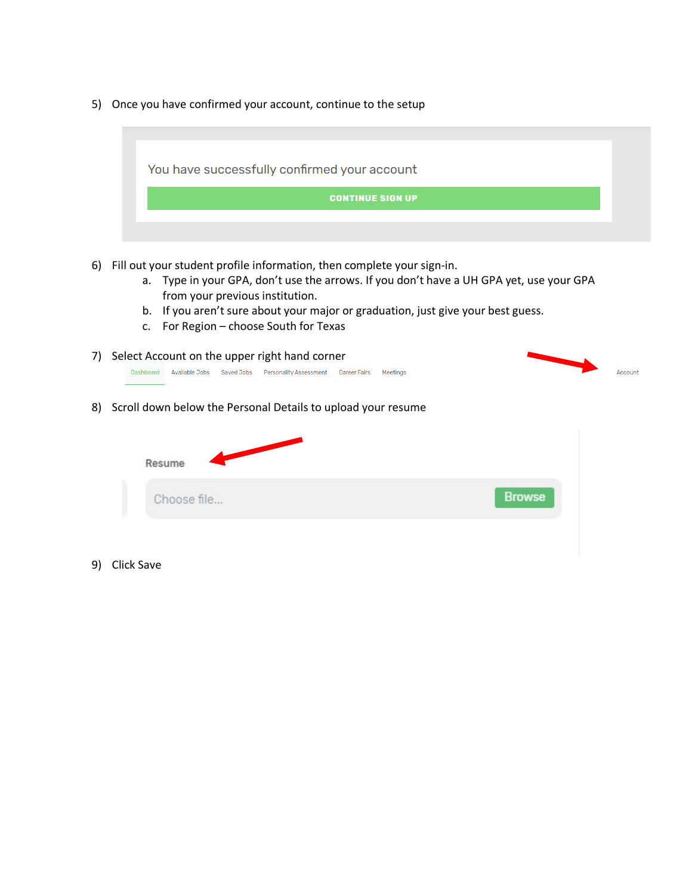5) Once you have confirmed your account, continue to the setup



- 6) Fill out your student profile information, then complete your sign-in.
	- a. Type in your GPA, don't use the arrows. If you don't have a UH GPA yet, use your GPA from your previous institution.
	- b. If you aren't sure about your major or graduation, just give your best guess.
	- c. For Region choose South for Texas
- 7) Select Account on the upper right hand corner Dashboard Available Jobs Saved Jobs Personality Assessment Career Fairs Meetings



8) Scroll down below the Personal Details to upload your resume

| Resume      |               |
|-------------|---------------|
| Choose file | <b>Browse</b> |

9) Click Save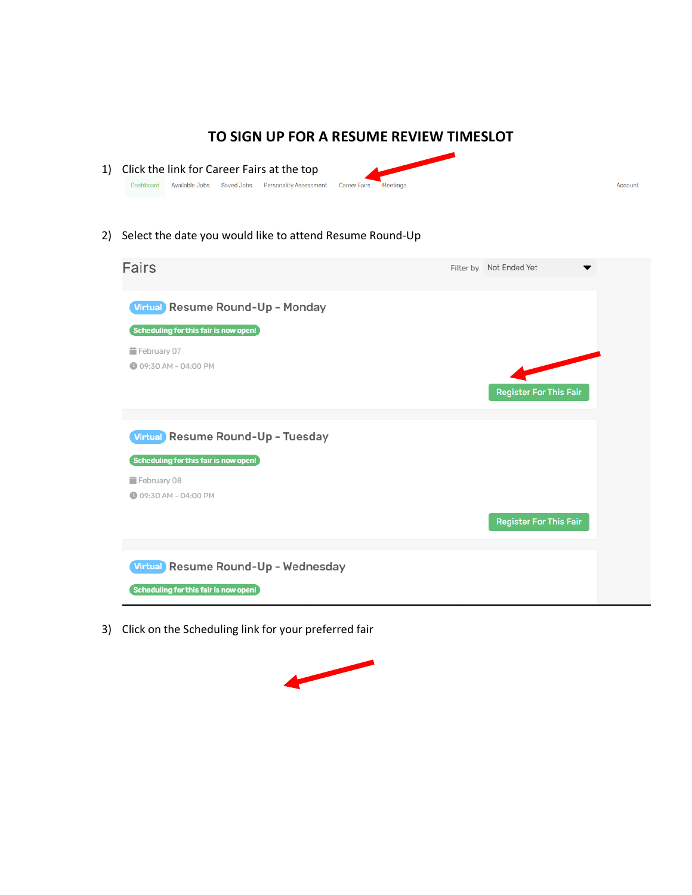#### **TO SIGN UP FOR A RESUME REVIEW TIMESLOT**

Account

- 1) Click the link for Career Fairs at the top Dashboard Available Jobs Saved Jobs Personality Assessment Career Fairs Meetings
- 2) Select the date you would like to attend Resume Round-Up



3) Click on the Scheduling link for your preferred fair

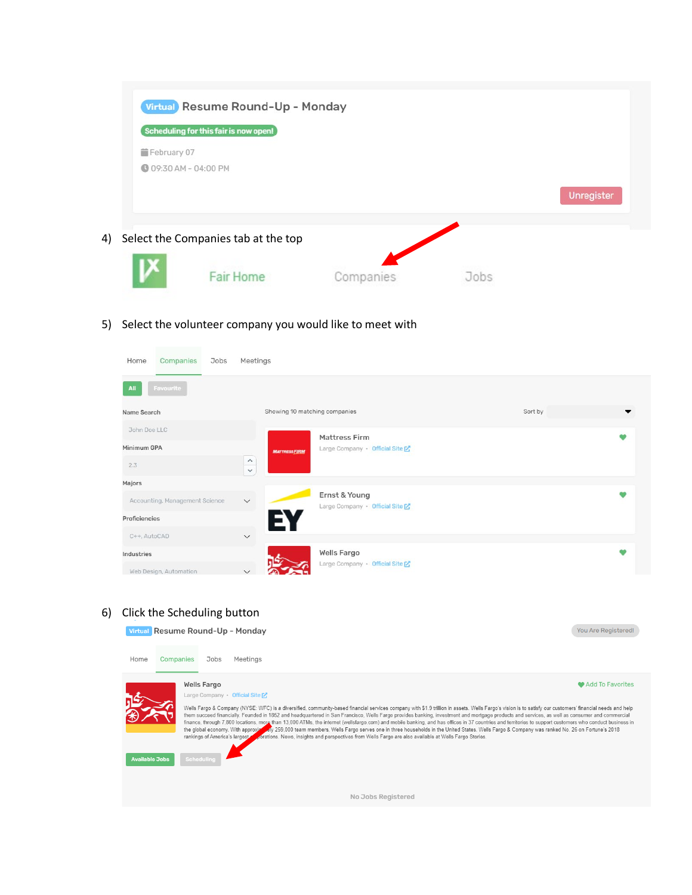|               | Virtual Resume Round-Up - Monday                                      |           |      |            |
|---------------|-----------------------------------------------------------------------|-----------|------|------------|
| ■ February 07 | Scheduling for this fair is now open!<br><b>@ 09:30 AM - 04:00 PM</b> |           |      |            |
|               |                                                                       |           |      | Unregister |
| 4)            | Select the Companies tab at the top                                   |           |      |            |
|               | <b>Fair Home</b>                                                      | Companies | Jobs |            |

#### 5) Select the volunteer company you would like to meet with

| Home<br>Companies<br>Jobs      | Meetings                      |                                                  |         |  |
|--------------------------------|-------------------------------|--------------------------------------------------|---------|--|
| All<br>Favourite               |                               |                                                  |         |  |
| Name Search                    | Showing 10 matching companies |                                                  | Sort by |  |
| John Doe LLC                   |                               | Mattress Firm                                    |         |  |
| Minimum GPA                    | <b>MATTRESSFIRM</b>           | Large Company · Official Site                    |         |  |
| 2.3                            | $\wedge$<br>$\checkmark$      |                                                  |         |  |
| Majors                         |                               |                                                  |         |  |
| Accounting, Management Science | $\checkmark$                  | Ernst & Young<br>Large Company · Official Site [ |         |  |
| Proficiencies                  | EV                            |                                                  |         |  |
| C++, AutoCAD                   | $\checkmark$                  |                                                  |         |  |
| Industries                     |                               | <b>Wells Fargo</b>                               |         |  |
| Web Design, Automation         | $\checkmark$                  | Large Company · Official Site                    |         |  |

6) Click the Scheduling button

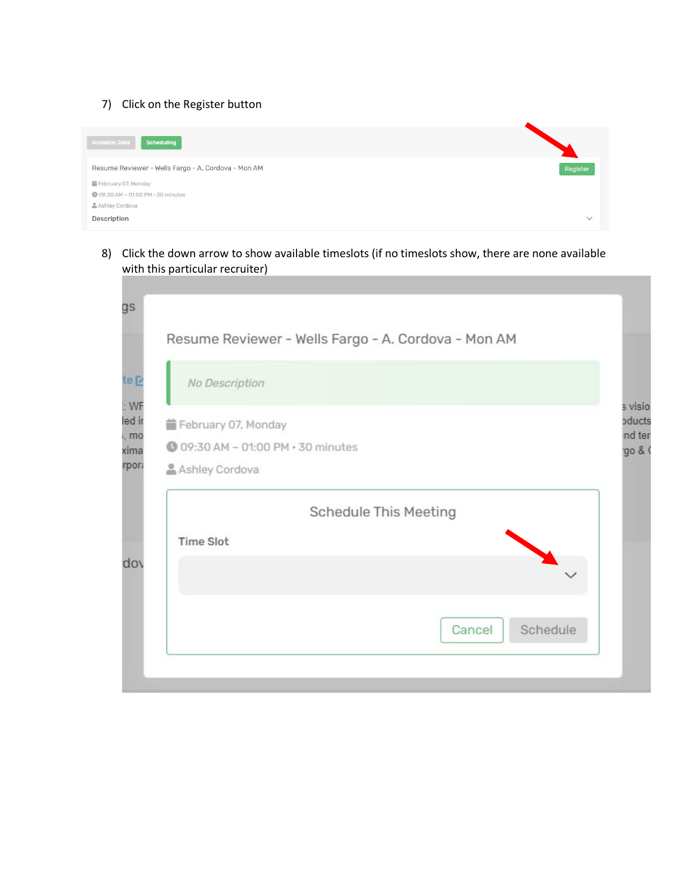#### 7) Click on the Register button



8) Click the down arrow to show available timeslots (if no timeslots show, there are none available with this particular recruiter)

| No Description                    |                              |
|-----------------------------------|------------------------------|
| February 07, Monday               |                              |
| 109:30 AM - 01:00 PM - 30 minutes |                              |
| Ashley Cordova                    |                              |
|                                   | <b>Schedule This Meeting</b> |
| <b>Time Slot</b>                  |                              |
|                                   |                              |
|                                   | Schedule<br>Cancel           |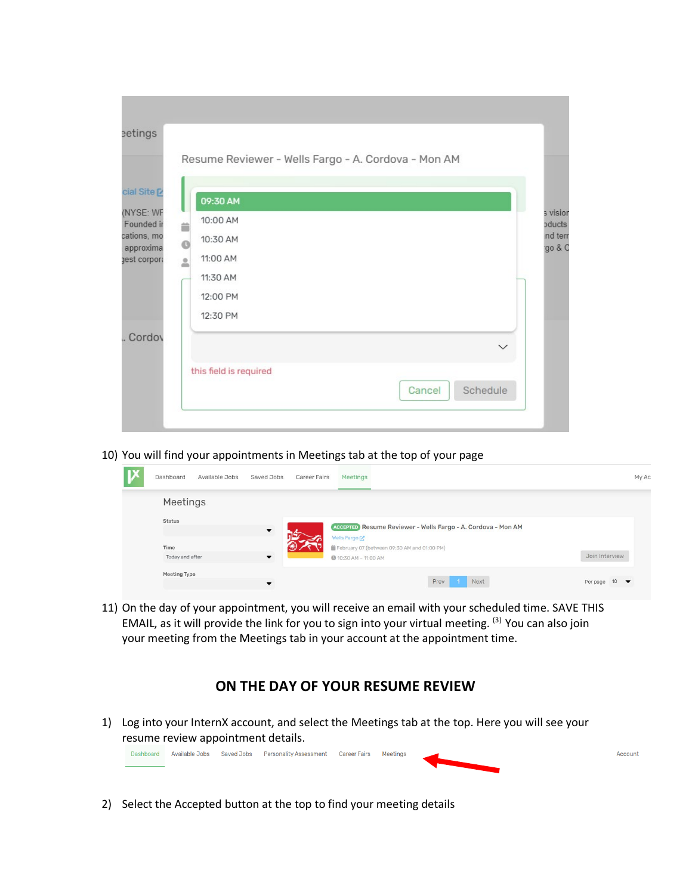|                           | Resume Reviewer - Wells Fargo - A. Cordova - Mon AM |
|---------------------------|-----------------------------------------------------|
|                           |                                                     |
| cial Site [2              | 09:30 AM                                            |
| (NYSE: WF                 | 10:00 AM                                            |
| Founded in<br>cations, mo | ä<br>10:30 AM                                       |
| approxima                 | $\circ$<br>11:00 AM                                 |
| gest corpora              | $\geq$                                              |
|                           | 11:30 AM                                            |
|                           | 12:00 PM                                            |
|                           | 12:30 PM                                            |
| Cordov                    | $\checkmark$                                        |
|                           | this field is required                              |
|                           | Schedule<br>Cancel                                  |

10) You will find your appointments in Meetings tab at the top of your page

| V | Dashboard       | Available Jobs | Saved Jobs               | <b>Career Fairs</b> | Meetings                    |                                             |      |                                                              |                | My Ac |
|---|-----------------|----------------|--------------------------|---------------------|-----------------------------|---------------------------------------------|------|--------------------------------------------------------------|----------------|-------|
|   | Meetings        |                |                          |                     |                             |                                             |      |                                                              |                |       |
|   | Status          |                | $\blacktriangledown$     |                     | Wells Fargo                 |                                             |      | ACCEPTED Resume Reviewer - Wells Fargo - A. Cordova - Mon AM |                |       |
|   | Time            |                |                          |                     |                             | February 07 (between 09:30 AM and 01:00 PM) |      |                                                              |                |       |
|   | Today and after |                | $\blacktriangledown$     |                     | <b>1</b> 0:30 AM - 11:00 AM |                                             |      |                                                              | Join Interview |       |
|   | Meeting Type    |                | $\overline{\phantom{a}}$ |                     |                             |                                             | Prev | Next                                                         | Per page $10$  |       |

11) On the day of your appointment, you will receive an email with your scheduled time. SAVE THIS EMAIL, as it will provide the link for you to sign into your virtual meeting. <sup>(3)</sup> You can also join your meeting from the Meetings tab in your account at the appointment time.

### **ON THE DAY OF YOUR RESUME REVIEW**

1) Log into your InternX account, and select the Meetings tab at the top. Here you will see your resume review appointment details.



2) Select the Accepted button at the top to find your meeting details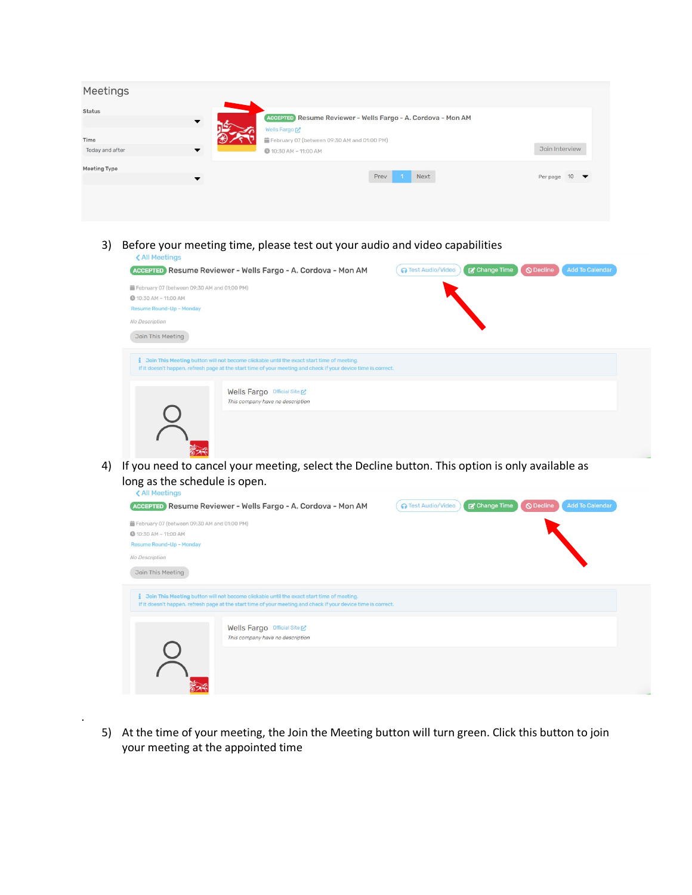| Meetings                |                          |                                                                             |                |
|-------------------------|--------------------------|-----------------------------------------------------------------------------|----------------|
| Status                  | $\overline{\phantom{a}}$ | ACCEPTED Resume Reviewer - Wells Fargo - A. Cordova - Mon AM<br>Wells Fargo |                |
| Time<br>Today and after | $\overline{\phantom{a}}$ | February 07 (between 09:30 AM and 01:00 PM)<br>10:30 AM - 11:00 AM          | Join Interview |
| Meeting Type            | ▼                        | Prev<br>Next                                                                | Per page $10$  |
|                         |                          |                                                                             |                |

3) Before your meeting time, please test out your audio and video capabilities

| February 07 (between 09:30 AM and 01:00 PM)<br><b>1</b> 0:30 AM - 11:00 AM |                                                                                                                                                                                 |  |
|----------------------------------------------------------------------------|---------------------------------------------------------------------------------------------------------------------------------------------------------------------------------|--|
| Resume Round-Up - Monday                                                   |                                                                                                                                                                                 |  |
| No Description                                                             |                                                                                                                                                                                 |  |
| Join This Meeting                                                          |                                                                                                                                                                                 |  |
|                                                                            | Join This Meeting button will not become clickable until the exact start time of meeting.                                                                                       |  |
|                                                                            | If it doesn't happen, refresh page at the start time of your meeting and check if your device time is correct.<br>Wells Fargo Official Site<br>This company have no description |  |

4) If you need to cancel your meeting, select the Decline button. This option is only available as long as the schedule is open.

| February 07 (between 09:30 AM and 01:00 PM) |                                                                                                                                                                                                             |  |
|---------------------------------------------|-------------------------------------------------------------------------------------------------------------------------------------------------------------------------------------------------------------|--|
| <b>1</b> 0:30 AM - 11:00 AM                 |                                                                                                                                                                                                             |  |
| Resume Round-Up - Monday                    |                                                                                                                                                                                                             |  |
| No Description                              |                                                                                                                                                                                                             |  |
| Join This Meeting                           |                                                                                                                                                                                                             |  |
|                                             | Join This Meeting button will not become clickable until the exact start time of meeting.<br>If it doesn't happen, refresh page at the start time of your meeting and check if your device time is correct. |  |
|                                             | Wells Fargo Official Site                                                                                                                                                                                   |  |
|                                             | This company have no description                                                                                                                                                                            |  |
|                                             |                                                                                                                                                                                                             |  |
|                                             |                                                                                                                                                                                                             |  |

5) At the time of your meeting, the Join the Meeting button will turn green. Click this button to join your meeting at the appointed time

.